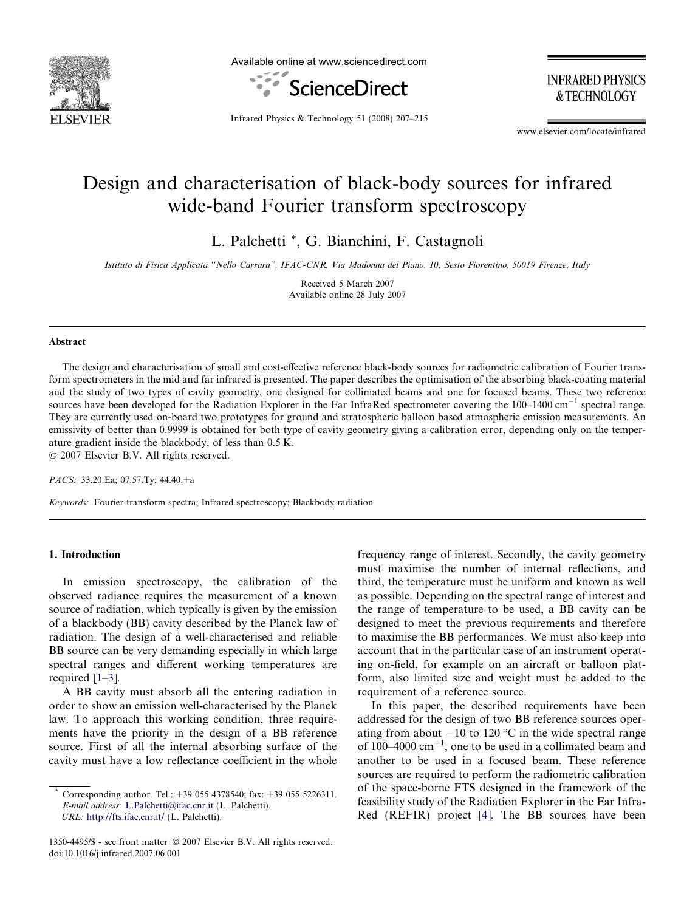

Available online at www.sciencedirect.com



**INFRARED PHYSICS** & TECHNOLOGY

Infrared Physics & Technology 51 (2008) 207–215

www.elsevier.com/locate/infrared

# Design and characterisation of black-body sources for infrared wide-band Fourier transform spectroscopy

L. Palchetti \*, G. Bianchini, F. Castagnoli

Istituto di Fisica Applicata ''Nello Carrara'', IFAC-CNR, Via Madonna del Piano, 10, Sesto Fiorentino, 50019 Firenze, Italy

Received 5 March 2007 Available online 28 July 2007

#### Abstract

The design and characterisation of small and cost-effective reference black-body sources for radiometric calibration of Fourier transform spectrometers in the mid and far infrared is presented. The paper describes the optimisation of the absorbing black-coating material and the study of two types of cavity geometry, one designed for collimated beams and one for focused beams. These two reference sources have been developed for the Radiation Explorer in the Far InfraRed spectrometer covering the  $100-1400 \text{ cm}^{-1}$  spectral range. They are currently used on-board two prototypes for ground and stratospheric balloon based atmospheric emission measurements. An emissivity of better than 0.9999 is obtained for both type of cavity geometry giving a calibration error, depending only on the temperature gradient inside the blackbody, of less than 0.5 K.

 $© 2007 Elsevier B.V. All rights reserved.$ 

PACS: 33.20.Ea; 07.57.Ty; 44.40.+a

Keywords: Fourier transform spectra; Infrared spectroscopy; Blackbody radiation

# 1. Introduction

In emission spectroscopy, the calibration of the observed radiance requires the measurement of a known source of radiation, which typically is given by the emission of a blackbody (BB) cavity described by the Planck law of radiation. The design of a well-characterised and reliable BB source can be very demanding especially in which large spectral ranges and different working temperatures are required [\[1–3\].](#page-8-0)

A BB cavity must absorb all the entering radiation in order to show an emission well-characterised by the Planck law. To approach this working condition, three requirements have the priority in the design of a BB reference source. First of all the internal absorbing surface of the cavity must have a low reflectance coefficient in the whole frequency range of interest. Secondly, the cavity geometry must maximise the number of internal reflections, and third, the temperature must be uniform and known as well as possible. Depending on the spectral range of interest and the range of temperature to be used, a BB cavity can be designed to meet the previous requirements and therefore to maximise the BB performances. We must also keep into account that in the particular case of an instrument operating on-field, for example on an aircraft or balloon platform, also limited size and weight must be added to the requirement of a reference source.

In this paper, the described requirements have been addressed for the design of two BB reference sources operating from about  $-10$  to 120 °C in the wide spectral range of  $100-4000$   $cm^{-1}$ , one to be used in a collimated beam and another to be used in a focused beam. These reference sources are required to perform the radiometric calibration of the space-borne FTS designed in the framework of the feasibility study of the Radiation Explorer in the Far Infra-Red (REFIR) project [\[4\]](#page-8-0). The BB sources have been

Corresponding author. Tel.: +39 055 4378540; fax: +39 055 5226311. E-mail address: [L.Palchetti@ifac.cnr.it](mailto:L.Palchetti@ifac.cnr.it) (L. Palchetti). URL: <http://fts.ifac.cnr.it/> (L. Palchetti).

<sup>1350-4495/\$ -</sup> see front matter © 2007 Elsevier B.V. All rights reserved. doi:10.1016/j.infrared.2007.06.001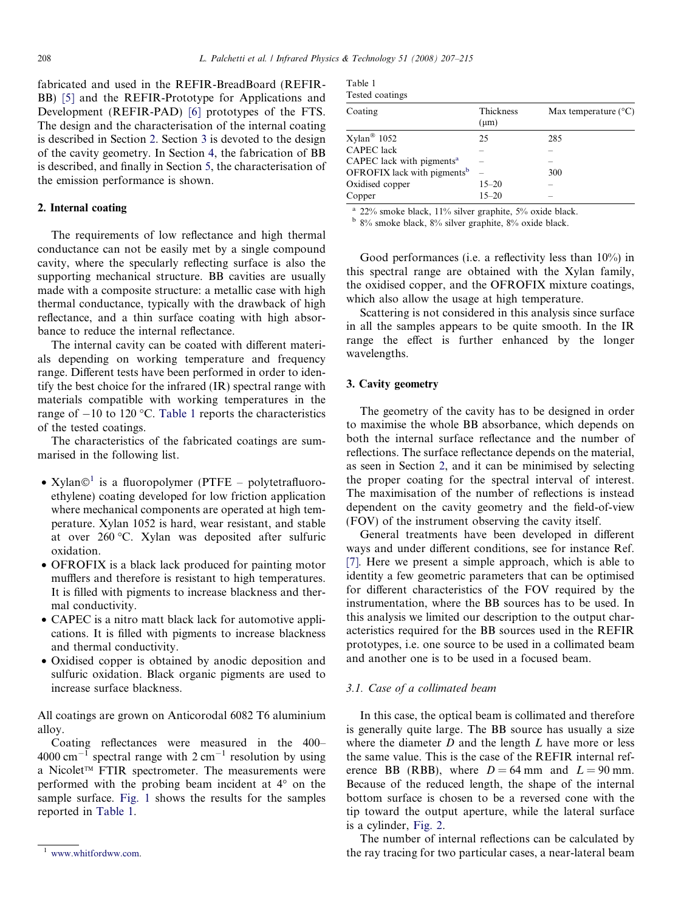<span id="page-1-0"></span>fabricated and used in the REFIR-BreadBoard (REFIR-BB) [\[5\]](#page-8-0) and the REFIR-Prototype for Applications and Development (REFIR-PAD) [\[6\]](#page-8-0) prototypes of the FTS. The design and the characterisation of the internal coating is described in Section 2. Section 3 is devoted to the design of the cavity geometry. In Section [4,](#page-3-0) the fabrication of BB is described, and finally in Section [5,](#page-4-0) the characterisation of the emission performance is shown.

# 2. Internal coating

The requirements of low reflectance and high thermal conductance can not be easily met by a single compound cavity, where the specularly reflecting surface is also the supporting mechanical structure. BB cavities are usually made with a composite structure: a metallic case with high thermal conductance, typically with the drawback of high reflectance, and a thin surface coating with high absorbance to reduce the internal reflectance.

The internal cavity can be coated with different materials depending on working temperature and frequency range. Different tests have been performed in order to identify the best choice for the infrared (IR) spectral range with materials compatible with working temperatures in the range of  $-10$  to 120 °C. Table 1 reports the characteristics of the tested coatings.

The characteristics of the fabricated coatings are summarised in the following list.

- Xylan $\odot$ <sup>1</sup> is a fluoropolymer (PTFE polytetrafluoroethylene) coating developed for low friction application where mechanical components are operated at high temperature. Xylan 1052 is hard, wear resistant, and stable at over 260 C. Xylan was deposited after sulfuric oxidation.
- OFROFIX is a black lack produced for painting motor mufflers and therefore is resistant to high temperatures. It is filled with pigments to increase blackness and thermal conductivity.
- CAPEC is a nitro matt black lack for automotive applications. It is filled with pigments to increase blackness and thermal conductivity.
- Oxidised copper is obtained by anodic deposition and sulfuric oxidation. Black organic pigments are used to increase surface blackness.

All coatings are grown on Anticorodal 6082 T6 aluminium alloy.

Coating reflectances were measured in the 400– 4000 cm<sup>-1</sup> spectral range with  $2 \text{ cm}^{-1}$  resolution by using a Nicolet<sup>™</sup> FTIR spectrometer. The measurements were performed with the probing beam incident at  $4^\circ$  on the sample surface. [Fig. 1](#page-2-0) shows the results for the samples reported in Table 1.

| Table 1 |                 |
|---------|-----------------|
|         | Tested coatings |

| Coating                                 | Thickness<br>$(\mu m)$ | Max temperature $(^{\circ}C)$ |
|-----------------------------------------|------------------------|-------------------------------|
| $X$ ylan <sup>®</sup> 1052              | 25                     | 285                           |
| <b>CAPEC</b> lack                       |                        |                               |
| CAPEC lack with pigments <sup>a</sup>   |                        |                               |
| OFROFIX lack with pigments <sup>b</sup> |                        | 300                           |
| Oxidised copper                         | $15 - 20$              |                               |
| Copper                                  | $15 - 20$              | $\overline{\phantom{a}}$      |

<sup>a</sup> 22% smoke black, 11% silver graphite, 5% oxide black.

<sup>b</sup> 8% smoke black, 8% silver graphite, 8% oxide black.

Good performances (i.e. a reflectivity less than 10%) in this spectral range are obtained with the Xylan family, the oxidised copper, and the OFROFIX mixture coatings, which also allow the usage at high temperature.

Scattering is not considered in this analysis since surface in all the samples appears to be quite smooth. In the IR range the effect is further enhanced by the longer wavelengths.

# 3. Cavity geometry

The geometry of the cavity has to be designed in order to maximise the whole BB absorbance, which depends on both the internal surface reflectance and the number of reflections. The surface reflectance depends on the material, as seen in Section 2, and it can be minimised by selecting the proper coating for the spectral interval of interest. The maximisation of the number of reflections is instead dependent on the cavity geometry and the field-of-view (FOV) of the instrument observing the cavity itself.

General treatments have been developed in different ways and under different conditions, see for instance Ref. [\[7\]](#page-8-0). Here we present a simple approach, which is able to identity a few geometric parameters that can be optimised for different characteristics of the FOV required by the instrumentation, where the BB sources has to be used. In this analysis we limited our description to the output characteristics required for the BB sources used in the REFIR prototypes, i.e. one source to be used in a collimated beam and another one is to be used in a focused beam.

## 3.1. Case of a collimated beam

In this case, the optical beam is collimated and therefore is generally quite large. The BB source has usually a size where the diameter  $D$  and the length  $L$  have more or less the same value. This is the case of the REFIR internal reference BB (RBB), where  $D = 64$  mm and  $L = 90$  mm. Because of the reduced length, the shape of the internal bottom surface is chosen to be a reversed cone with the tip toward the output aperture, while the lateral surface is a cylinder, [Fig. 2](#page-2-0).

The number of internal reflections can be calculated by the ray tracing for two particular cases, a near-lateral beam

<sup>1</sup> [www.whitfordww.com](http://www.whitfordww.com).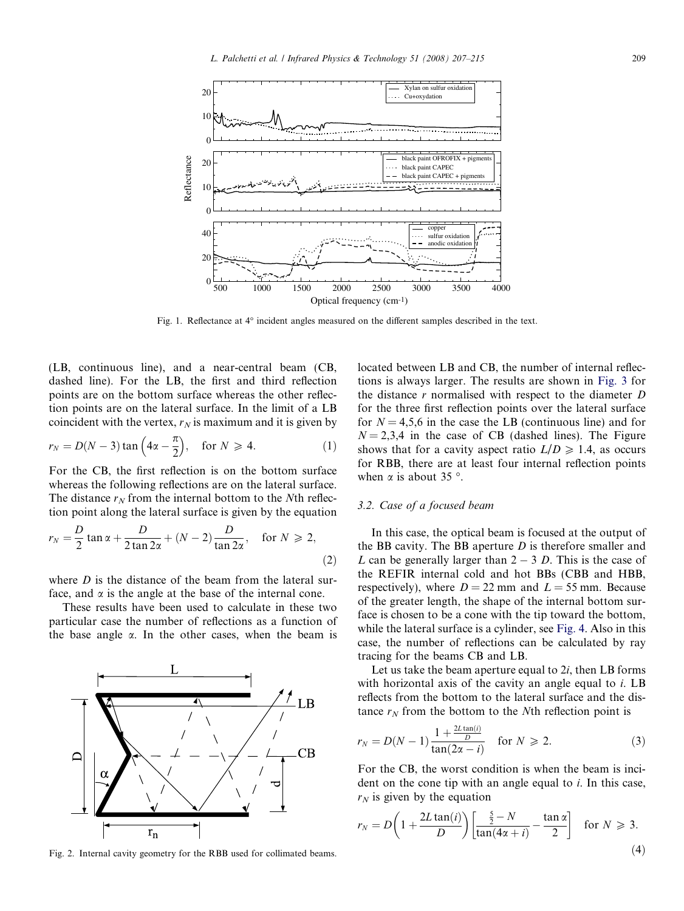<span id="page-2-0"></span>

Fig. 1. Reflectance at 4° incident angles measured on the different samples described in the text.

(LB, continuous line), and a near-central beam (CB, dashed line). For the LB, the first and third reflection points are on the bottom surface whereas the other reflection points are on the lateral surface. In the limit of a LB coincident with the vertex,  $r_N$  is maximum and it is given by

$$
r_N = D(N-3)\tan\left(4\alpha - \frac{\pi}{2}\right), \quad \text{for } N \ge 4. \tag{1}
$$

For the CB, the first reflection is on the bottom surface whereas the following reflections are on the lateral surface. The distance  $r_N$  from the internal bottom to the Nth reflection point along the lateral surface is given by the equation

$$
r_N = \frac{D}{2} \tan \alpha + \frac{D}{2 \tan 2\alpha} + (N - 2) \frac{D}{\tan 2\alpha}, \quad \text{for } N \ge 2,
$$
\n(2)

where  $D$  is the distance of the beam from the lateral surface, and  $\alpha$  is the angle at the base of the internal cone.

These results have been used to calculate in these two particular case the number of reflections as a function of the base angle  $\alpha$ . In the other cases, when the beam is



Fig. 2. Internal cavity geometry for the RBB used for collimated beams.

located between LB and CB, the number of internal reflections is always larger. The results are shown in [Fig. 3](#page-3-0) for the distance  $r$  normalised with respect to the diameter  $D$ for the three first reflection points over the lateral surface for  $N = 4.5.6$  in the case the LB (continuous line) and for  $N = 2,3,4$  in the case of CB (dashed lines). The Figure shows that for a cavity aspect ratio  $L/D \ge 1.4$ , as occurs for RBB, there are at least four internal reflection points when  $\alpha$  is about 35 °.

#### 3.2. Case of a focused beam

In this case, the optical beam is focused at the output of the BB cavity. The BB aperture  $D$  is therefore smaller and L can be generally larger than  $2 - 3$  D. This is the case of the REFIR internal cold and hot BBs (CBB and HBB, respectively), where  $D = 22$  mm and  $L = 55$  mm. Because of the greater length, the shape of the internal bottom surface is chosen to be a cone with the tip toward the bottom, while the lateral surface is a cylinder, see [Fig. 4](#page-3-0). Also in this case, the number of reflections can be calculated by ray tracing for the beams CB and LB.

Let us take the beam aperture equal to  $2i$ , then LB forms with horizontal axis of the cavity an angle equal to *i*. LB reflects from the bottom to the lateral surface and the distance  $r_N$  from the bottom to the Nth reflection point is

$$
r_N = D(N-1)\frac{1 + \frac{2L\tan(i)}{D}}{\tan(2\alpha - i)} \quad \text{for } N \ge 2.
$$
 (3)

For the CB, the worst condition is when the beam is incident on the cone tip with an angle equal to i. In this case,  $r_N$  is given by the equation

$$
r_N = D\left(1 + \frac{2L\tan(i)}{D}\right) \left[\frac{\frac{5}{2} - N}{\tan(4\alpha + i)} - \frac{\tan \alpha}{2}\right] \quad \text{for } N \ge 3.
$$
\n(4)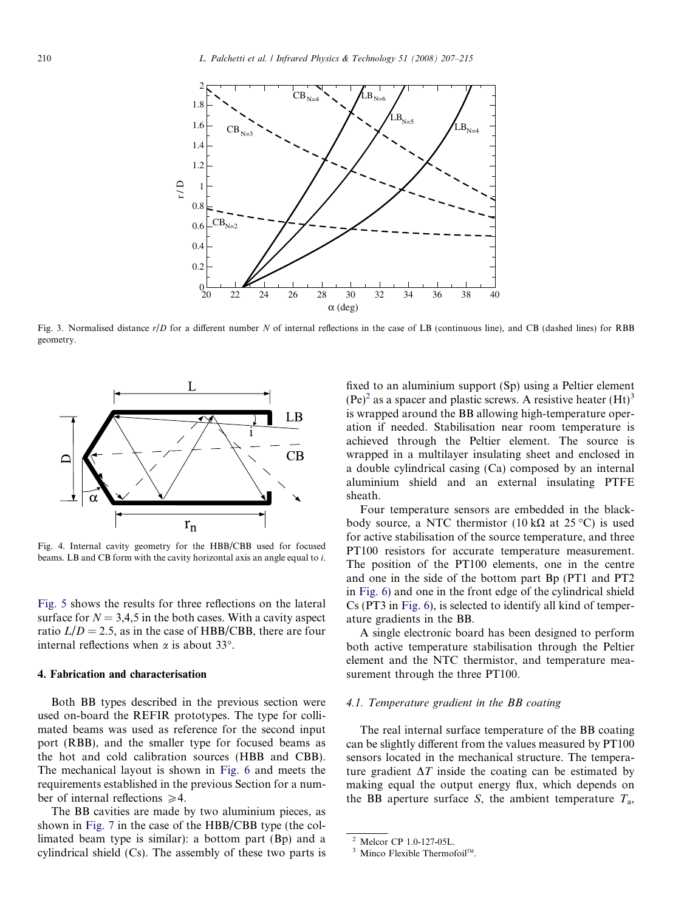<span id="page-3-0"></span>

Fig. 3. Normalised distance r/D for a different number N of internal reflections in the case of LB (continuous line), and CB (dashed lines) for RBB geometry.



Fig. 4. Internal cavity geometry for the HBB/CBB used for focused beams. LB and CB form with the cavity horizontal axis an angle equal to i.

[Fig. 5](#page-4-0) shows the results for three reflections on the lateral surface for  $N = 3,4,5$  in the both cases. With a cavity aspect ratio  $L/D = 2.5$ , as in the case of HBB/CBB, there are four internal reflections when  $\alpha$  is about 33°.

#### 4. Fabrication and characterisation

Both BB types described in the previous section were used on-board the REFIR prototypes. The type for collimated beams was used as reference for the second input port (RBB), and the smaller type for focused beams as the hot and cold calibration sources (HBB and CBB). The mechanical layout is shown in [Fig. 6](#page-4-0) and meets the requirements established in the previous Section for a number of internal reflections  $\geq 4$ .

The BB cavities are made by two aluminium pieces, as shown in [Fig. 7](#page-5-0) in the case of the HBB/CBB type (the collimated beam type is similar): a bottom part (Bp) and a cylindrical shield (Cs). The assembly of these two parts is fixed to an aluminium support (Sp) using a Peltier element  $(Pe)^2$  as a spacer and plastic screws. A resistive heater  $(Ht)^3$ is wrapped around the BB allowing high-temperature operation if needed. Stabilisation near room temperature is achieved through the Peltier element. The source is wrapped in a multilayer insulating sheet and enclosed in a double cylindrical casing (Ca) composed by an internal aluminium shield and an external insulating PTFE sheath.

Four temperature sensors are embedded in the blackbody source, a NTC thermistor (10 k $\Omega$  at 25 °C) is used for active stabilisation of the source temperature, and three PT100 resistors for accurate temperature measurement. The position of the PT100 elements, one in the centre and one in the side of the bottom part Bp (PT1 and PT2 in [Fig. 6](#page-4-0)) and one in the front edge of the cylindrical shield Cs (PT3 in [Fig. 6](#page-4-0)), is selected to identify all kind of temperature gradients in the BB.

A single electronic board has been designed to perform both active temperature stabilisation through the Peltier element and the NTC thermistor, and temperature measurement through the three PT100.

#### 4.1. Temperature gradient in the BB coating

The real internal surface temperature of the BB coating can be slightly different from the values measured by PT100 sensors located in the mechanical structure. The temperature gradient  $\Delta T$  inside the coating can be estimated by making equal the output energy flux, which depends on the BB aperture surface S, the ambient temperature  $T_a$ ,

<sup>&</sup>lt;sup>2</sup> Melcor CP 1.0-127-05L.<sup>3</sup> Minco Flexible Thermofoil<sup>TM</sup>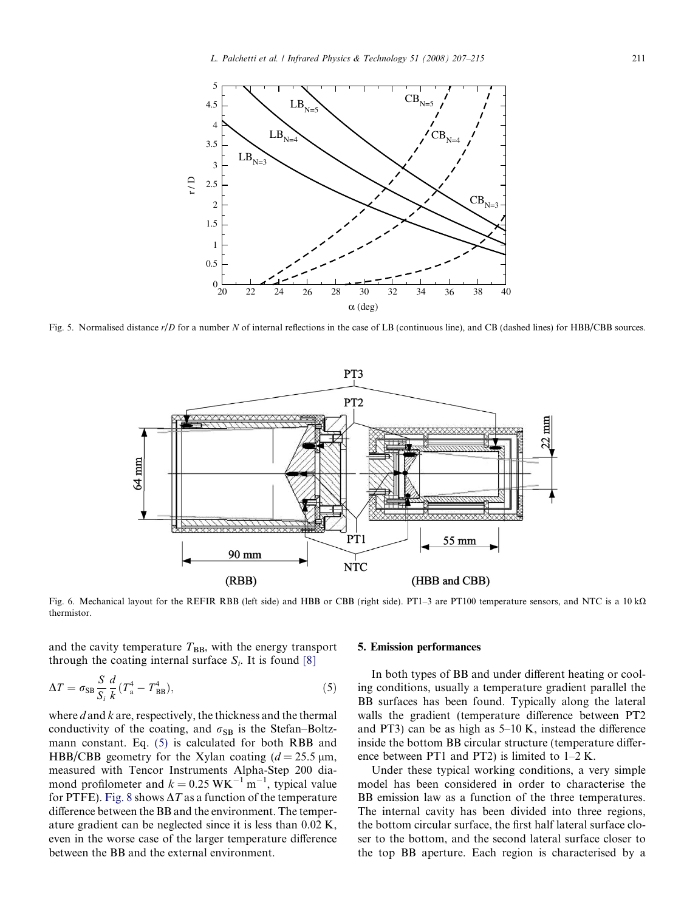<span id="page-4-0"></span>

Fig. 5. Normalised distance  $r/D$  for a number N of internal reflections in the case of LB (continuous line), and CB (dashed lines) for HBB/CBB sources.



Fig. 6. Mechanical layout for the REFIR RBB (left side) and HBB or CBB (right side). PT1-3 are PT100 temperature sensors, and NTC is a 10 k $\Omega$ thermistor.

and the cavity temperature  $T_{BB}$ , with the energy transport through the coating internal surface  $S_i$ . It is found [\[8\]](#page-8-0)

$$
\Delta T = \sigma_{\rm SB} \frac{S}{S_i} \frac{d}{k} (T_{\rm a}^4 - T_{\rm BB}^4),\tag{5}
$$

where  $d$  and  $k$  are, respectively, the thickness and the thermal conductivity of the coating, and  $\sigma_{SB}$  is the Stefan–Boltzmann constant. Eq. (5) is calculated for both RBB and HBB/CBB geometry for the Xylan coating  $(d = 25.5 \text{ }\mu\text{m})$ , measured with Tencor Instruments Alpha-Step 200 diamond profilometer and  $k = 0.25 \text{ WK}^{-1} \text{ m}^{-1}$ , typical value for PTFE). [Fig. 8](#page-5-0) shows  $\Delta T$  as a function of the temperature difference between the BB and the environment. The temperature gradient can be neglected since it is less than 0.02 K, even in the worse case of the larger temperature difference between the BB and the external environment.

#### 5. Emission performances

In both types of BB and under different heating or cooling conditions, usually a temperature gradient parallel the BB surfaces has been found. Typically along the lateral walls the gradient (temperature difference between PT2 and PT3) can be as high as 5–10 K, instead the difference inside the bottom BB circular structure (temperature difference between PT1 and PT2) is limited to 1–2 K.

Under these typical working conditions, a very simple model has been considered in order to characterise the BB emission law as a function of the three temperatures. The internal cavity has been divided into three regions, the bottom circular surface, the first half lateral surface closer to the bottom, and the second lateral surface closer to the top BB aperture. Each region is characterised by a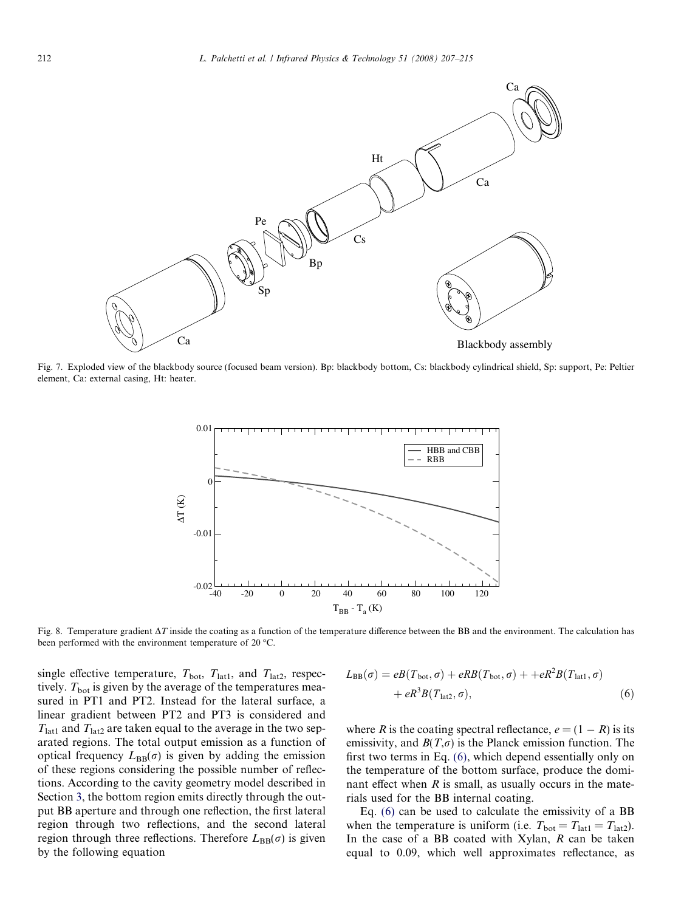<span id="page-5-0"></span>

Fig. 7. Exploded view of the blackbody source (focused beam version). Bp: blackbody bottom, Cs: blackbody cylindrical shield, Sp: support, Pe: Peltier element, Ca: external casing, Ht: heater.



Fig. 8. Temperature gradient  $\Delta T$  inside the coating as a function of the temperature difference between the BB and the environment. The calculation has been performed with the environment temperature of 20  $^{\circ}$ C.

single effective temperature,  $T_{\text{bot}}$ ,  $T_{\text{lat1}}$ , and  $T_{\text{lat2}}$ , respectively.  $T_{\text{bot}}$  is given by the average of the temperatures measured in PT1 and PT2. Instead for the lateral surface, a linear gradient between PT2 and PT3 is considered and  $T_{\text{lat1}}$  and  $T_{\text{lat2}}$  are taken equal to the average in the two separated regions. The total output emission as a function of optical frequency  $L_{\text{BB}}(\sigma)$  is given by adding the emission of these regions considering the possible number of reflections. According to the cavity geometry model described in Section [3](#page-1-0), the bottom region emits directly through the output BB aperture and through one reflection, the first lateral region through two reflections, and the second lateral region through three reflections. Therefore  $L_{\text{BB}}(\sigma)$  is given by the following equation

$$
L_{\text{BB}}(\sigma) = eB(T_{\text{bot}}, \sigma) + eRB(T_{\text{bot}}, \sigma) + + eR^2B(T_{\text{lat1}}, \sigma)
$$
  
+  $eR^3B(T_{\text{lat2}}, \sigma)$ , (6)

where R is the coating spectral reflectance,  $e = (1 - R)$  is its emissivity, and  $B(T,\sigma)$  is the Planck emission function. The first two terms in Eq. (6), which depend essentially only on the temperature of the bottom surface, produce the dominant effect when  $R$  is small, as usually occurs in the materials used for the BB internal coating.

Eq. (6) can be used to calculate the emissivity of a BB when the temperature is uniform (i.e.  $T_{\text{bot}} = T_{\text{lat1}} = T_{\text{lat2}}$ ). In the case of a BB coated with Xylan,  $R$  can be taken equal to 0.09, which well approximates reflectance, as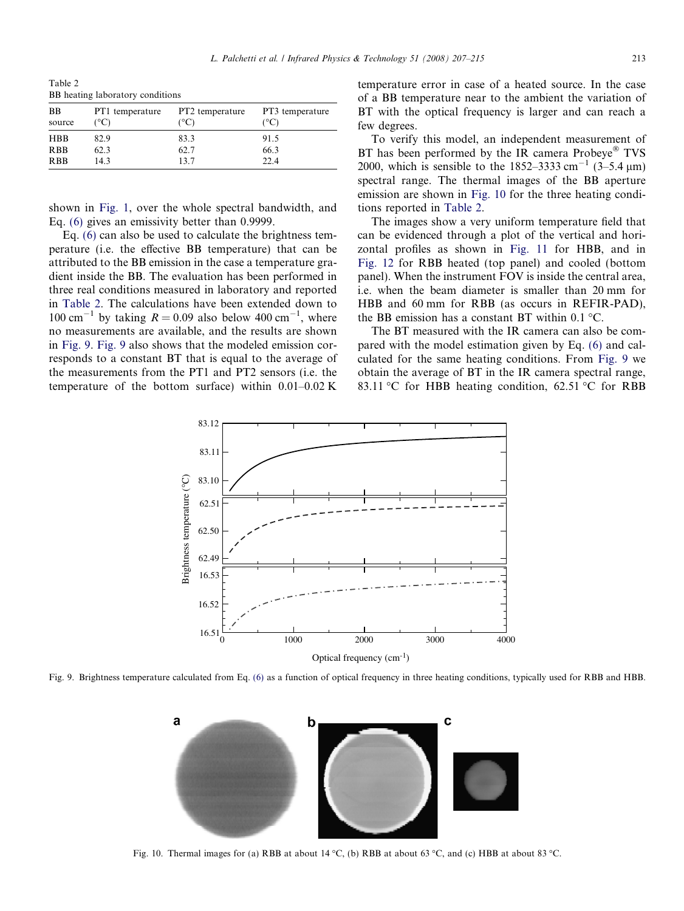Table 2 BB heating laboratory conditions

| BB<br>source | PT1 temperature<br>$^{\circ}$ C) | PT2 temperature<br>(°C) | PT3 temperature<br>(°C) |
|--------------|----------------------------------|-------------------------|-------------------------|
| <b>HBB</b>   | 82.9                             | 83.3                    | 91.5                    |
| <b>RBB</b>   | 62.3                             | 62.7                    | 66.3                    |
| <b>RBB</b>   | 14.3                             | 137                     | 22.4                    |

shown in [Fig. 1](#page-2-0), over the whole spectral bandwidth, and Eq. [\(6\)](#page-5-0) gives an emissivity better than 0.9999.

Eq. [\(6\)](#page-5-0) can also be used to calculate the brightness temperature (i.e. the effective BB temperature) that can be attributed to the BB emission in the case a temperature gradient inside the BB. The evaluation has been performed in three real conditions measured in laboratory and reported in Table 2. The calculations have been extended down to 100 cm<sup>-1</sup> by taking  $R = 0.09$  also below 400 cm<sup>-1</sup>, where no measurements are available, and the results are shown in Fig. 9. Fig. 9 also shows that the modeled emission corresponds to a constant BT that is equal to the average of the measurements from the PT1 and PT2 sensors (i.e. the temperature of the bottom surface) within  $0.01-0.02$  K temperature error in case of a heated source. In the case of a BB temperature near to the ambient the variation of BT with the optical frequency is larger and can reach a few degrees.

To verify this model, an independent measurement of BT has been performed by the IR camera  $Probeve^{\circledR}$  TVS 2000, which is sensible to the 1852–3333 cm<sup>-1</sup> (3–5.4  $\mu$ m) spectral range. The thermal images of the BB aperture emission are shown in Fig. 10 for the three heating conditions reported in Table 2.

The images show a very uniform temperature field that can be evidenced through a plot of the vertical and horizontal profiles as shown in [Fig. 11](#page-7-0) for HBB, and in [Fig. 12](#page-7-0) for RBB heated (top panel) and cooled (bottom panel). When the instrument FOV is inside the central area, i.e. when the beam diameter is smaller than 20 mm for HBB and 60 mm for RBB (as occurs in REFIR-PAD), the BB emission has a constant BT within  $0.1 \degree C$ .

The BT measured with the IR camera can also be compared with the model estimation given by Eq. [\(6\)](#page-5-0) and calculated for the same heating conditions. From Fig. 9 we obtain the average of BT in the IR camera spectral range, 83.11 °C for HBB heating condition, 62.51 °C for RBB



Fig. 9. Brightness temperature calculated from Eq. [\(6\)](#page-5-0) as a function of optical frequency in three heating conditions, typically used for RBB and HBB.



Fig. 10. Thermal images for (a) RBB at about 14 °C, (b) RBB at about 63 °C, and (c) HBB at about 83 °C.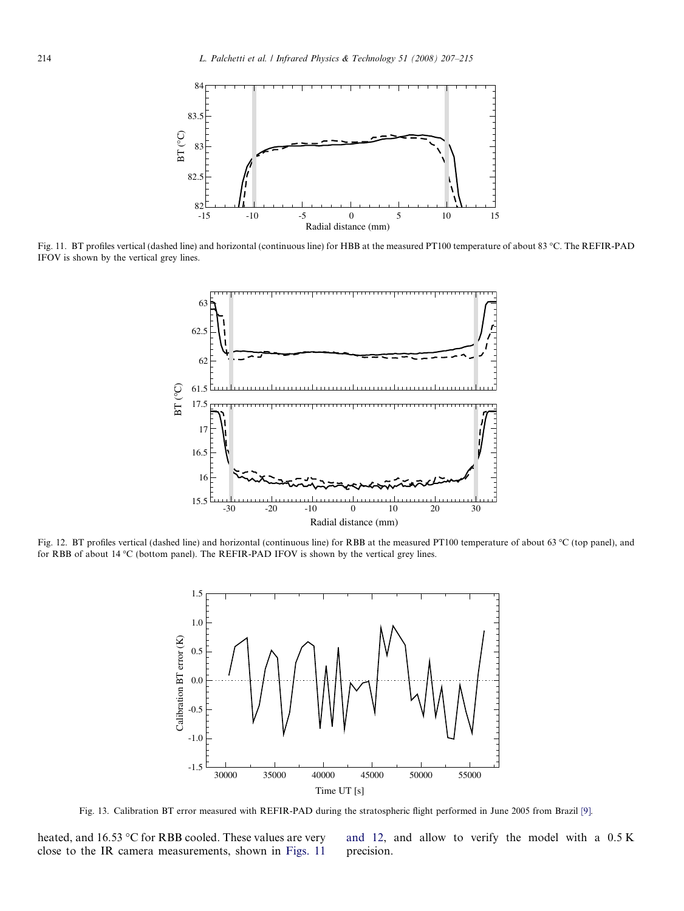<span id="page-7-0"></span>

Fig. 11. BT profiles vertical (dashed line) and horizontal (continuous line) for HBB at the measured PT100 temperature of about 83 °C. The REFIR-PAD IFOV is shown by the vertical grey lines.



Fig. 12. BT profiles vertical (dashed line) and horizontal (continuous line) for RBB at the measured PT100 temperature of about 63 °C (top panel), and for RBB of about 14 °C (bottom panel). The REFIR-PAD IFOV is shown by the vertical grey lines.



Fig. 13. Calibration BT error measured with REFIR-PAD during the stratospheric flight performed in June 2005 from Brazil [\[9\]](#page-8-0).

heated, and  $16.53 \text{ °C}$  for RBB cooled. These values are very close to the IR camera measurements, shown in Figs. 11 and 12, and allow to verify the model with a 0.5 K precision.